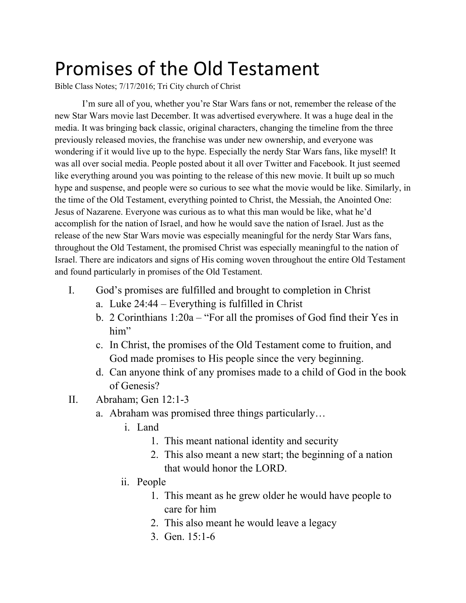## Promises of the Old Testament

Bible Class Notes; 7/17/2016; Tri City church of Christ

I'm sure all of you, whether you're Star Wars fans or not, remember the release of the new Star Wars movie last December. It was advertised everywhere. It was a huge deal in the media. It was bringing back classic, original characters, changing the timeline from the three previously released movies, the franchise was under new ownership, and everyone was wondering if it would live up to the hype. Especially the nerdy Star Wars fans, like myself! It was all over social media. People posted about it all over Twitter and Facebook. It just seemed like everything around you was pointing to the release of this new movie. It built up so much hype and suspense, and people were so curious to see what the movie would be like. Similarly, in the time of the Old Testament, everything pointed to Christ, the Messiah, the Anointed One: Jesus of Nazarene. Everyone was curious as to what this man would be like, what he'd accomplish for the nation of Israel, and how he would save the nation of Israel. Just as the release of the new Star Wars movie was especially meaningful for the nerdy Star Wars fans, throughout the Old Testament, the promised Christ was especially meaningful to the nation of Israel. There are indicators and signs of His coming woven throughout the entire Old Testament and found particularly in promises of the Old Testament.

- I. God's promises are fulfilled and brought to completion in Christ
	- a. Luke 24:44 Everything is fulfilled in Christ
	- b. 2 Corinthians 1:20a "For all the promises of God find their Yes in him"
	- c. In Christ, the promises of the Old Testament come to fruition, and God made promises to His people since the very beginning.
	- d. Can anyone think of any promises made to a child of God in the book of Genesis?
- II. Abraham; Gen  $12:1-3$ 
	- a. Abraham was promised three things particularly…
		- i. Land
			- 1. This meant national identity and security
			- 2. This also meant a new start; the beginning of a nation that would honor the LORD.
		- ii. People
			- 1. This meant as he grew older he would have people to care for him
			- 2. This also meant he would leave a legacy
			- 3. Gen. 15:1-6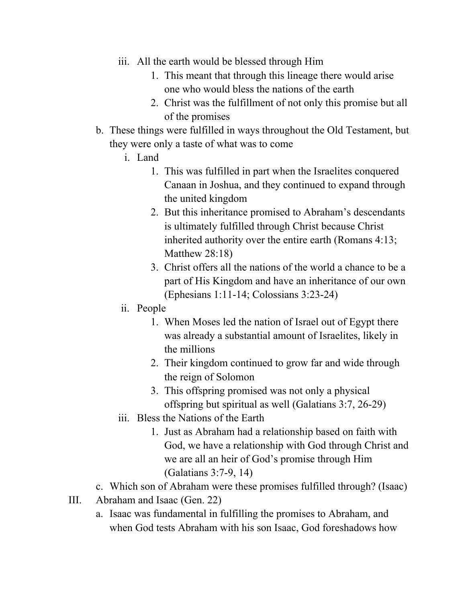- iii. All the earth would be blessed through Him
	- 1. This meant that through this lineage there would arise one who would bless the nations of the earth
	- 2. Christ was the fulfillment of not only this promise but all of the promises
- b. These things were fulfilled in ways throughout the Old Testament, but they were only a taste of what was to come
	- i. Land
		- 1. This was fulfilled in part when the Israelites conquered Canaan in Joshua, and they continued to expand through the united kingdom
		- 2. But this inheritance promised to Abraham's descendants is ultimately fulfilled through Christ because Christ inherited authority over the entire earth (Romans 4:13; Matthew 28:18)
		- 3. Christ offers all the nations of the world a chance to be a part of His Kingdom and have an inheritance of our own (Ephesians 1:11-14; Colossians 3:23-24)
	- ii. People
		- 1. When Moses led the nation of Israel out of Egypt there was already a substantial amount of Israelites, likely in the millions
		- 2. Their kingdom continued to grow far and wide through the reign of Solomon
		- 3. This offspring promised was not only a physical offspring but spiritual as well (Galatians  $3:7, 26-29$ )
	- iii. Bless the Nations of the Earth
		- 1. Just as Abraham had a relationship based on faith with God, we have a relationship with God through Christ and we are all an heir of God's promise through Him  $(Galatians 3:7-9, 14)$
- c. Which son of Abraham were these promises fulfilled through? (Isaac)
- III. Abraham and Isaac (Gen. 22)
	- a. Isaac was fundamental in fulfilling the promises to Abraham, and when God tests Abraham with his son Isaac, God foreshadows how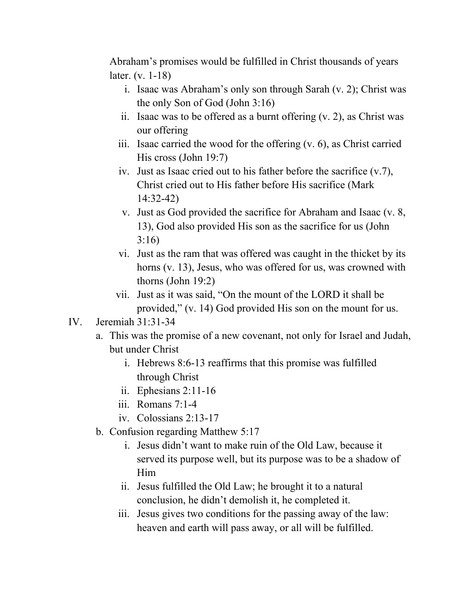Abraham's promises would be fulfilled in Christ thousands of years later.  $(v. 1-18)$ 

- i. Isaac was Abraham's only son through Sarah (v. 2); Christ was the only Son of God (John 3:16)
- ii. Isaac was to be offered as a burnt offering (v. 2), as Christ was our offering
- iii. Isaac carried the wood for the offering (v. 6), as Christ carried His cross (John 19:7)
- iv. Just as Isaac cried out to his father before the sacrifice (v.7), Christ cried out to His father before His sacrifice (Mark  $14:32-42$
- v. Just as God provided the sacrifice for Abraham and Isaac (v. 8, 13), God also provided His son as the sacrifice for us (John 3:16)
- vi. Just as the ram that was offered was caught in the thicket by its horns (v. 13), Jesus, who was offered for us, was crowned with thorns (John 19:2)
- vii. Just as it was said, "On the mount of the LORD it shall be provided," (v. 14) God provided His son on the mount for us.
- IV. Jeremiah 31:31-34
	- a. This was the promise of a new covenant, not only for Israel and Judah, but under Christ
		- i. Hebrews 8:6-13 reaffirms that this promise was fulfilled through Christ
		- ii. Ephesians  $2:11-16$
		- iii. Romans  $7:1-4$
		- iv. Colossians  $2:13-17$
	- b. Confusion regarding Matthew 5:17
		- i. Jesus didn't want to make ruin of the Old Law, because it served its purpose well, but its purpose was to be a shadow of Him
		- ii. Jesus fulfilled the Old Law; he brought it to a natural conclusion, he didn't demolish it, he completed it.
		- iii. Jesus gives two conditions for the passing away of the law: heaven and earth will pass away, or all will be fulfilled.